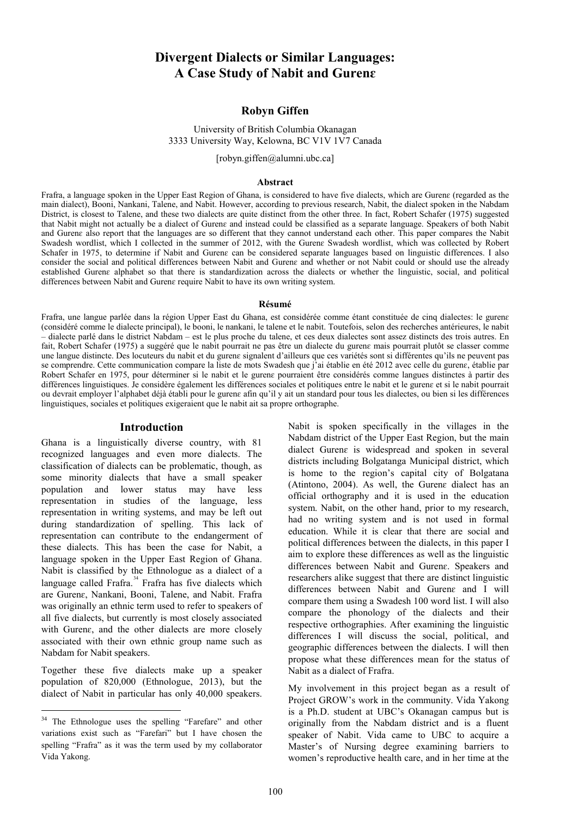# **Divergent Dialects or Similar Languages: A Case Study of Nabit and Gurenɛ**

# **Robyn Giffen**

## University of British Columbia Okanagan 3333 University Way, Kelowna, BC V1V 1V7 Canada

[robyn.giffen@alumni.ubc.ca]

### **Abstract**

Frafra, a language spoken in the Upper East Region of Ghana, is considered to have five dialects, which are Gurenɛ (regarded as the main dialect), Booni, Nankani, Talene, and Nabit. However, according to previous research, Nabit, the dialect spoken in the Nabdam District, is closest to Talene, and these two dialects are quite distinct from the other three. In fact, Robert Schafer (1975) suggested that Nabit might not actually be a dialect of Gurena and instead could be classified as a separate language. Speakers of both Nabit and Gurene also report that the languages are so different that they cannot understand each other. This paper compares the Nabit Swadesh wordlist, which I collected in the summer of 2012, with the Gurene Swadesh wordlist, which was collected by Robert Schafer in 1975, to determine if Nabit and Gurena can be considered separate languages based on linguistic differences. I also consider the social and political differences between Nabit and Gurene and whether or not Nabit could or should use the already established Gurenɛ alphabet so that there is standardization across the dialects or whether the linguistic, social, and political differences between Nabit and Gurenɛ require Nabit to have its own writing system.

#### **Résumé**

Frafra, une langue parlée dans la région Upper East du Ghana, est considérée comme étant constituée de cinq dialectes: le gurena (considéré comme le dialecte principal), le booni, le nankani, le talene et le nabit. Toutefois, selon des recherches antérieures, le nabit – dialecte parlé dans le district Nabdam – est le plus proche du talene, et ces deux dialectes sont assez distincts des trois autres. En fait, Robert Schafer (1975) a suggéré que le nabit pourrait ne pas être un dialecte du gurenɛ mais pourrait plutôt se classer comme une langue distincte. Des locuteurs du nabit et du gurenɛ signalent d'ailleurs que ces variétés sont si différentes qu'ils ne peuvent pas se comprendre. Cette communication compare la liste de mots Swadesh que j'ai établie en été 2012 avec celle du gurena, établie par Robert Schafer en 1975, pour déterminer si le nabit et le gurene pourraient être considérés comme langues distinctes à partir des différences linguistiques. Je considère également les différences sociales et politiques entre le nabit et le gurene et si le nabit pourrait ou devrait employer l'alphabet déjà établi pour le gurenɛ afin qu'il y ait un standard pour tous les dialectes, ou bien si les différences linguistiques, sociales et politiques exigeraient que le nabit ait sa propre orthographe.

### **Introduction**

Ghana is a linguistically diverse country, with 81 recognized languages and even more dialects. The classification of dialects can be problematic, though, as some minority dialects that have a small speaker population and lower status may have less representation in studies of the language, less representation in writing systems, and may be left out during standardization of spelling. This lack of representation can contribute to the endangerment of these dialects. This has been the case for Nabit, a language spoken in the Upper East Region of Ghana. Nabit is classified by the Ethnologue as a dialect of a language called Frafra.<sup>[34](#page-0-0)</sup> Frafra has five dialects which are Gurenɛ, Nankani, Booni, Talene, and Nabit. Frafra was originally an ethnic term used to refer to speakers of all five dialects, but currently is most closely associated with Guren $\varepsilon$ , and the other dialects are more closely associated with their own ethnic group name such as Nabdam for Nabit speakers.

Together these five dialects make up a speaker population of 820,000 (Ethnologue, 2013), but the dialect of Nabit in particular has only 40,000 speakers.

Nabit is spoken specifically in the villages in the Nabdam district of the Upper East Region, but the main dialect Gurenɛ is widespread and spoken in several districts including Bolgatanga Municipal district, which is home to the region's capital city of Bolgatana (Atintono, 2004). As well, the Gurene dialect has an official orthography and it is used in the education system. Nabit, on the other hand, prior to my research, had no writing system and is not used in formal education. While it is clear that there are social and political differences between the dialects, in this paper I aim to explore these differences as well as the linguistic differences between Nabit and Gurenɛ. Speakers and researchers alike suggest that there are distinct linguistic differences between Nabit and Gurenɛ and I will compare them using a Swadesh 100 word list. I will also compare the phonology of the dialects and their respective orthographies. After examining the linguistic differences I will discuss the social, political, and geographic differences between the dialects. I will then propose what these differences mean for the status of Nabit as a dialect of Frafra.

My involvement in this project began as a result of Project GROW's work in the community. Vida Yakong is a Ph.D. student at UBC's Okanagan campus but is originally from the Nabdam district and is a fluent speaker of Nabit. Vida came to UBC to acquire a Master's of Nursing degree examining barriers to women's reproductive health care, and in her time at the

<span id="page-0-0"></span><sup>&</sup>lt;sup>34</sup> The Ethnologue uses the spelling "Farefare" and other variations exist such as "Farefari" but I have chosen the spelling "Frafra" as it was the term used by my collaborator Vida Yakong.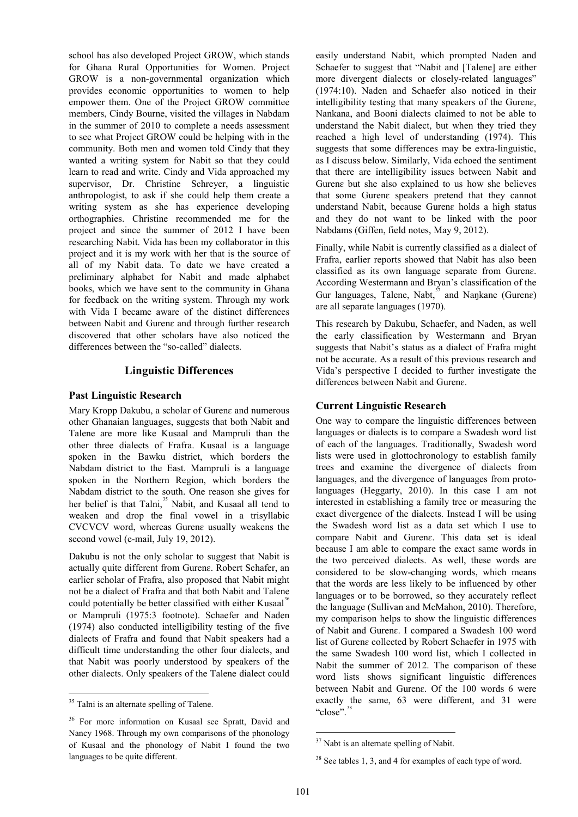school has also developed Project GROW, which stands for Ghana Rural Opportunities for Women. Project GROW is a non-governmental organization which provides economic opportunities to women to help empower them. One of the Project GROW committee members, Cindy Bourne, visited the villages in Nabdam in the summer of 2010 to complete a needs assessment to see what Project GROW could be helping with in the community. Both men and women told Cindy that they wanted a writing system for Nabit so that they could learn to read and write. Cindy and Vida approached my supervisor, Dr. Christine Schreyer, a linguistic anthropologist, to ask if she could help them create a writing system as she has experience developing orthographies. Christine recommended me for the project and since the summer of 2012 I have been researching Nabit. Vida has been my collaborator in this project and it is my work with her that is the source of all of my Nabit data. To date we have created a preliminary alphabet for Nabit and made alphabet books, which we have sent to the community in Ghana for feedback on the writing system. Through my work with Vida I became aware of the distinct differences between Nabit and Guren $\varepsilon$  and through further research discovered that other scholars have also noticed the differences between the "so-called" dialects.

## **Linguistic Differences**

### **Past Linguistic Research**

Mary Kropp Dakubu, a scholar of Gurenɛ and numerous other Ghanaian languages, suggests that both Nabit and Talene are more like Kusaal and Mampruli than the other three dialects of Frafra. Kusaal is a language spoken in the Bawku district, which borders the Nabdam district to the East. Mampruli is a language spoken in the Northern Region, which borders the Nabdam district to the south. One reason she gives for her belief is that Talni,<sup>[35](#page-1-0)</sup> Nabit, and Kusaal all tend to weaken and drop the final vowel in a trisyllabic CVCVCV word, whereas Gurenɛ usually weakens the second vowel (e-mail, July 19, 2012).

Dakubu is not the only scholar to suggest that Nabit is actually quite different from Gurenɛ. Robert Schafer, an earlier scholar of Frafra, also proposed that Nabit might not be a dialect of Frafra and that both Nabit and Talene could potentially be better classified with either Kusaal<sup>[36](#page-1-1)</sup> or Mampruli (1975:3 footnote). Schaefer and Naden (1974) also conducted intelligibility testing of the five dialects of Frafra and found that Nabit speakers had a difficult time understanding the other four dialects, and that Nabit was poorly understood by speakers of the other dialects. Only speakers of the Talene dialect could

easily understand Nabit, which prompted Naden and Schaefer to suggest that "Nabit and [Talene] are either more divergent dialects or closely-related languages" (1974:10). Naden and Schaefer also noticed in their intelligibility testing that many speakers of the Gurenɛ, Nankana, and Booni dialects claimed to not be able to understand the Nabit dialect, but when they tried they reached a high level of understanding (1974). This suggests that some differences may be extra-linguistic, as I discuss below. Similarly, Vida echoed the sentiment that there are intelligibility issues between Nabit and Gurenɛ but she also explained to us how she believes that some Guren $\varepsilon$  speakers pretend that they cannot understand Nabit, because Gurenɛ holds a high status and they do not want to be linked with the poor Nabdams (Giffen, field notes, May 9, 2012).

Finally, while Nabit is currently classified as a dialect of Frafra, earlier reports showed that Nabit has also been classified as its own language separate from Gurenɛ. According Westermann and Bryan's classification of the Gur languages, Talene, Nabt, $\frac{37}{37}$  $\frac{37}{37}$  $\frac{37}{37}$  and Naŋkane (Guren $\varepsilon$ ) are all separate languages (1970).

This research by Dakubu, Schaefer, and Naden, as well the early classification by Westermann and Bryan suggests that Nabit's status as a dialect of Frafra might not be accurate. As a result of this previous research and Vida's perspective I decided to further investigate the differences between Nabit and Gurenɛ.

# **Current Linguistic Research**

One way to compare the linguistic differences between languages or dialects is to compare a Swadesh word list of each of the languages. Traditionally, Swadesh word lists were used in glottochronology to establish family trees and examine the divergence of dialects from languages, and the divergence of languages from protolanguages (Heggarty, 2010). In this case I am not interested in establishing a family tree or measuring the exact divergence of the dialects. Instead I will be using the Swadesh word list as a data set which I use to compare Nabit and Gurenɛ. This data set is ideal because I am able to compare the exact same words in the two perceived dialects. As well, these words are considered to be slow-changing words, which means that the words are less likely to be influenced by other languages or to be borrowed, so they accurately reflect the language (Sullivan and McMahon, 2010). Therefore, my comparison helps to show the linguistic differences of Nabit and Gurenɛ. I compared a Swadesh 100 word list of Gurenɛ collected by Robert Schaefer in 1975 with the same Swadesh 100 word list, which I collected in Nabit the summer of 2012. The comparison of these word lists shows significant linguistic differences between Nabit and Gurenɛ. Of the 100 words 6 were exactly the same, 63 were different, and 31 were "close".<sup>3</sup>

<span id="page-1-0"></span><sup>&</sup>lt;sup>35</sup> Talni is an alternate spelling of Talene.

<span id="page-1-3"></span><span id="page-1-2"></span><span id="page-1-1"></span><sup>36</sup> For more information on Kusaal see Spratt, David and Nancy 1968. Through my own comparisons of the phonology of Kusaal and the phonology of Nabit I found the two languages to be quite different.

<sup>&</sup>lt;sup>37</sup> Nabt is an alternate spelling of Nabit.

<sup>&</sup>lt;sup>38</sup> See tables 1, 3, and 4 for examples of each type of word.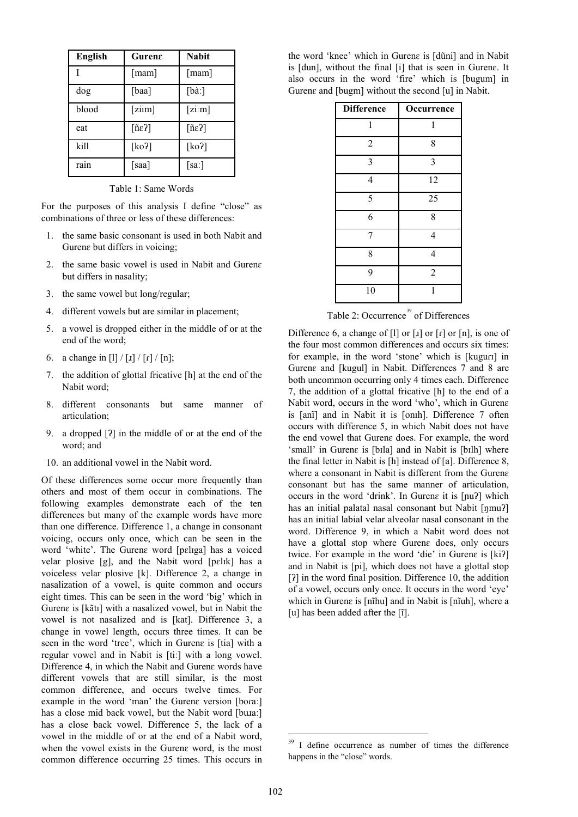| English | Gurena                       | <b>Nabit</b>       |
|---------|------------------------------|--------------------|
|         | [mam]                        | [mam]              |
| dog     | [baa]                        | [ba!]              |
| blood   | [ziim]                       | [zim]              |
| eat     | $\lceil$ ñε $\overline{?}$ ] | $\lceil$ ñε $\}$ ] |
| kill    | [ $ko$ ?]                    | [ko]               |
| rain    | [saa]                        | [sa!]              |

Table 1: Same Words

For the purposes of this analysis I define "close" as combinations of three or less of these differences:

- 1. the same basic consonant is used in both Nabit and Gurenɛ but differs in voicing;
- 2. the same basic vowel is used in Nabit and Gurenɛ but differs in nasality;
- 3. the same vowel but long/regular;
- 4. different vowels but are similar in placement;
- 5. a vowel is dropped either in the middle of or at the end of the word;
- 6. a change in [l] / [ $\lfloor$  |  $\lfloor$   $\lfloor$   $\lfloor$   $\lfloor$   $\lfloor$   $\lfloor$   $\lfloor$   $\lfloor$   $\lfloor$   $\lfloor$   $\lfloor$   $\lfloor$   $\lfloor$   $\lfloor$   $\lfloor$   $\lfloor$   $\lfloor$   $\lfloor$   $\lfloor$   $\lfloor$   $\lfloor$   $\lfloor$   $\lfloor$   $\lfloor$   $\lfloor$   $\lfloor$   $\lfloor$   $\lfloor$   $\lfloor$   $\lfloor$   $\lfloor$   $\lfloor$
- 7. the addition of glottal fricative [h] at the end of the Nabit word;
- 8. different consonants but same manner of articulation;
- 9. a dropped [ʔ] in the middle of or at the end of the word; and
- 10. an additional vowel in the Nabit word.

<span id="page-2-0"></span>Of these differences some occur more frequently than others and most of them occur in combinations. The following examples demonstrate each of the ten differences but many of the example words have more than one difference. Difference 1, a change in consonant voicing, occurs only once, which can be seen in the word 'white'. The Gurenɛ word [pɛlɪga] has a voiced velar plosive [g], and the Nabit word [pɛlɪk] has a voiceless velar plosive [k]. Difference 2, a change in nasalization of a vowel, is quite common and occurs eight times. This can be seen in the word 'big' which in Gurenɛ is [kãtɪ] with a nasalized vowel, but in Nabit the vowel is not nasalized and is [kat]. Difference 3, a change in vowel length, occurs three times. It can be seen in the word 'tree', which in Gurene is [tia] with a regular vowel and in Nabit is [tiː] with a long vowel. Difference 4, in which the Nabit and Gurenɛ words have different vowels that are still similar, is the most common difference, and occurs twelve times. For example in the word 'man' the Gurene version [bora:] has a close mid back vowel, but the Nabit word [bu.a.] has a close back vowel. Difference 5, the lack of a vowel in the middle of or at the end of a Nabit word, when the vowel exists in the Gurena word, is the most common difference occurring 25 times. This occurs in

the word 'knee' which in Gurenɛ is [dũni] and in Nabit is [dun], without the final [i] that is seen in Gurenɛ. It also occurs in the word 'fire' which is [bugum] in Guren $\varepsilon$  and [bugm] without the second [u] in Nabit.

| <b>Difference</b> | Occurrence     |
|-------------------|----------------|
| 1                 | 1              |
| $\overline{2}$    | 8              |
| $\overline{3}$    | $\overline{3}$ |
| $\overline{4}$    | 12             |
| 5                 | 25             |
| 6                 | 8              |
| 7                 | $\overline{4}$ |
| 8                 | $\overline{4}$ |
| 9                 | $\overline{2}$ |
| 10                | 1              |

Table 2: Occurrence<sup>[39](#page-2-0)</sup> of Differences

Difference 6, a change of [l] or  $\lbrack$  or  $\lbrack$  or  $\lbrack$  or  $\lbrack$  or  $\lbrack$  or  $\lbrack$  or  $\lbrack$  or  $\lbrack$ the four most common differences and occurs six times: for example, in the word 'stone' which is [kugurɪ] in Gurenɛ and [kugul] in Nabit. Differences 7 and 8 are both uncommon occurring only 4 times each. Difference 7, the addition of a glottal fricative [h] to the end of a Nabit word, occurs in the word 'who', which in Gurenɛ is [anī] and in Nabit it is [onth]. Difference 7 often occurs with difference 5, in which Nabit does not have the end vowel that Gurenɛ does. For example, the word 'small' in Guren $\varepsilon$  is [bila] and in Nabit is [bilh] where the final letter in Nabit is [h] instead of [a]. Difference 8, where a consonant in Nabit is different from the Gurene consonant but has the same manner of articulation, occurs in the word 'drink'. In Gurenɛ it is [ɲuʔ] which has an initial palatal nasal consonant but Nabit [ŋmuʔ] has an initial labial velar alveolar nasal consonant in the word. Difference 9, in which a Nabit word does not have a glottal stop where Gurena does, only occurs twice. For example in the word 'die' in Gurene is [ki?] and in Nabit is [pi], which does not have a glottal stop [?] in the word final position. Difference 10, the addition of a vowel, occurs only once. It occurs in the word 'eye' which in Guren $\varepsilon$  is [nīhu] and in Nabit is [nīuh], where a [u] has been added after the [i].

<sup>&</sup>lt;sup>39</sup> I define occurrence as number of times the difference happens in the "close" words.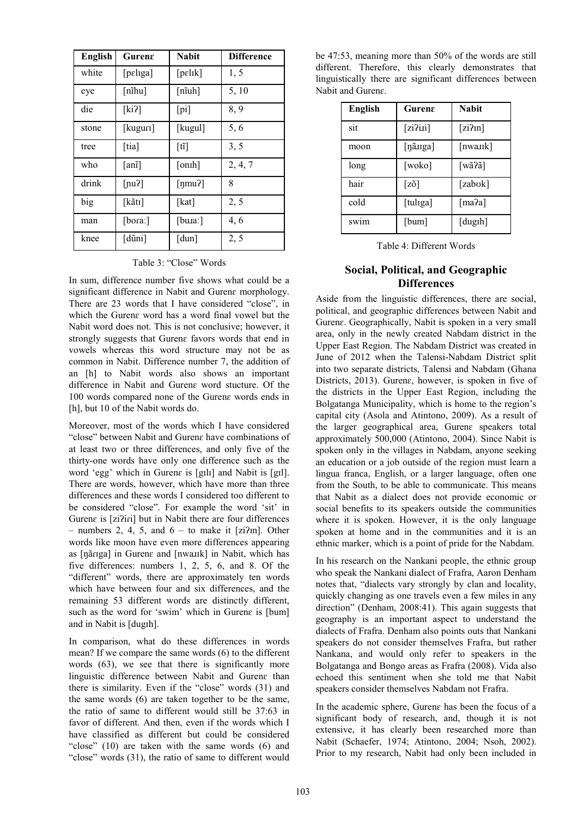| <b>English</b> | Gurena   | <b>Nabit</b>             | <b>Difference</b> |
|----------------|----------|--------------------------|-------------------|
| white          | [pɛlɪga] | [pelik]                  | 1, 5              |
| eye            | [nîhu]   | $[n\tilde{i}uh]$         | 5, 10             |
| die            | [ki]     | $[p_1]$                  | 8, 9              |
| stone          | [kuguri] | [kugul]                  | 5, 6              |
| tree           | [tia]    | [ti]                     | 3, 5              |
| who            | [anĩ]    | [onih]                   | 2, 4, 7           |
| drink          | [nu2]    | $\lceil \eta m u \rceil$ | 8                 |
| big            | [kãtɪ]   | [kat]                    | 2, 5              |
| man            | [bora:]  | [bu. $a$ :]              | 4,6               |
| knee           | [dũni]   | [dun]                    | 2, 5              |

Table 3: "Close" Words

In sum, difference number five shows what could be a significant difference in Nabit and Guren $\varepsilon$  morphology. There are 23 words that I have considered "close", in which the Gurenɛ word has a word final vowel but the Nabit word does not. This is not conclusive; however, it strongly suggests that Gurenɛ favors words that end in vowels whereas this word structure may not be as common in Nabit. Difference number 7, the addition of an [h] to Nabit words also shows an important difference in Nabit and Gurenɛ word stucture. Of the 100 words compared none of the Gurenɛ words ends in [h], but 10 of the Nabit words do.

Moreover, most of the words which I have considered "close" between Nabit and Gurenɛ have combinations of at least two or three differences, and only five of the thirty-one words have only one difference such as the word 'egg' which in Gurene is [gɪlɪ] and Nabit is [gɪl]. There are words, however, which have more than three differences and these words I considered too different to be considered "close". For example the word 'sit' in Gurenε is [ziʔiri] but in Nabit there are four differences – numbers 2, 4, 5, and  $6 -$  to make it [zi $\Omega$ m]. Other words like moon have even more differences appearing as [ŋãɾɪga] in Gurenɛ and [nwaɹɪk] in Nabit, which has five differences: numbers 1, 2, 5, 6, and 8. Of the "different" words, there are approximately ten words which have between four and six differences, and the remaining 53 different words are distinctly different, such as the word for 'swim' which in Gurene is [bum] and in Nabit is [dugɪh].

In comparison, what do these differences in words mean? If we compare the same words (6) to the different words (63), we see that there is significantly more linguistic difference between Nabit and Gurenɛ than there is similarity. Even if the "close" words (31) and the same words (6) are taken together to be the same, the ratio of same to different would still be 37:63 in favor of different. And then, even if the words which I have classified as different but could be considered "close" (10) are taken with the same words (6) and "close" words (31), the ratio of same to different would

| be 47:53, meaning more than 50% of the words are still   |  |  |  |
|----------------------------------------------------------|--|--|--|
| different. Therefore, this clearly demonstrates that     |  |  |  |
| linguistically there are significant differences between |  |  |  |
| Nabit and Gurene.                                        |  |  |  |

| <b>English</b> | Gurene         | <b>Nabit</b>                       |
|----------------|----------------|------------------------------------|
| sit            | [zi2i1]        | [zi2m]                             |
| moon           | [ŋã.uga]       | [nwa.uk]                           |
| long           | [woko]         | [wã?ã]                             |
| hair           | $[z\tilde{o}]$ | [zabok]                            |
| cold           | [tuliga]       | $\lceil \text{ma} \cdot 2a \rceil$ |
| swim           | [bum]          | [dugih]                            |

Table 4: Different Words

# **Social, Political, and Geographic Differences**

Aside from the linguistic differences, there are social, political, and geographic differences between Nabit and Gurenɛ. Geographically, Nabit is spoken in a very small area, only in the newly created Nabdam district in the Upper East Region. The Nabdam District was created in June of 2012 when the Talensi-Nabdam District split into two separate districts, Talensi and Nabdam (Ghana Districts, 2013). Gurenɛ, however, is spoken in five of the districts in the Upper East Region, including the Bolgatanga Municipality, which is home to the region's capital city (Asola and Atintono, 2009). As a result of the larger geographical area, Gurene speakers total approximately 500,000 (Atintono, 2004). Since Nabit is spoken only in the villages in Nabdam, anyone seeking an education or a job outside of the region must learn a lingua franca, English, or a larger language, often one from the South, to be able to communicate. This means that Nabit as a dialect does not provide economic or social benefits to its speakers outside the communities where it is spoken. However, it is the only language spoken at home and in the communities and it is an ethnic marker, which is a point of pride for the Nabdam.

In his research on the Nankani people, the ethnic group who speak the Nankani dialect of Frafra, Aaron Denham notes that, "dialects vary strongly by clan and locality, quickly changing as one travels even a few miles in any direction" (Denham, 2008:41). This again suggests that geography is an important aspect to understand the dialects of Frafra. Denham also points outs that Nankani speakers do not consider themselves Frafra, but rather Nankana, and would only refer to speakers in the Bolgatanga and Bongo areas as Frafra (2008). Vida also echoed this sentiment when she told me that Nabit speakers consider themselves Nabdam not Frafra.

In the academic sphere, Gurenɛ has been the focus of a significant body of research, and, though it is not extensive, it has clearly been researched more than Nabit (Schaefer, 1974; Atintono, 2004; Nsoh, 2002). Prior to my research, Nabit had only been included in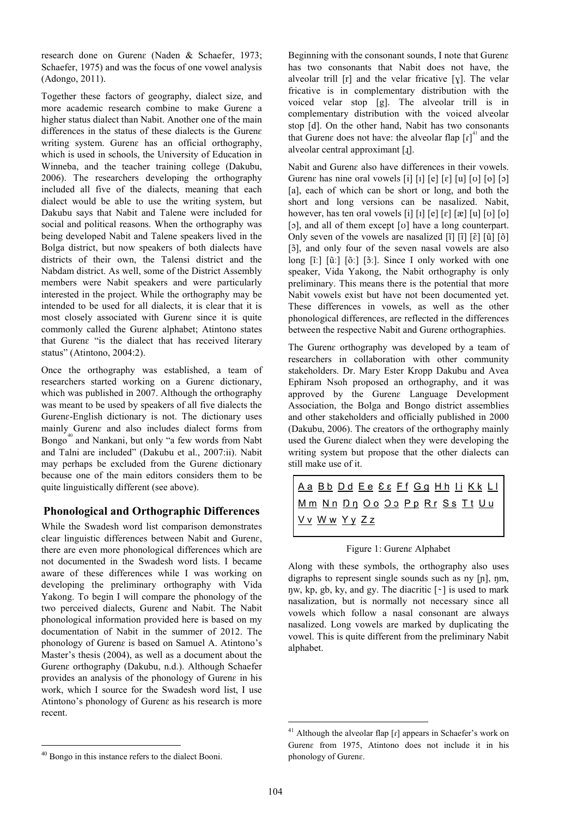research done on Gurenɛ (Naden & Schaefer, 1973; Schaefer, 1975) and was the focus of one vowel analysis (Adongo, 2011).

Together these factors of geography, dialect size, and more academic research combine to make Gurene a higher status dialect than Nabit. Another one of the main differences in the status of these dialects is the Gurenɛ writing system. Gurenɛ has an official orthography, which is used in schools, the University of Education in Winneba, and the teacher training college (Dakubu, 2006). The researchers developing the orthography included all five of the dialects, meaning that each dialect would be able to use the writing system, but Dakubu says that Nabit and Talene were included for social and political reasons. When the orthography was being developed Nabit and Talene speakers lived in the Bolga district, but now speakers of both dialects have districts of their own, the Talensi district and the Nabdam district. As well, some of the District Assembly members were Nabit speakers and were particularly interested in the project. While the orthography may be intended to be used for all dialects, it is clear that it is most closely associated with Gurena since it is quite commonly called the Gurenɛ alphabet; Atintono states that Gurenɛ "is the dialect that has received literary status" (Atintono, 2004:2).

Once the orthography was established, a team of researchers started working on a Gurena dictionary, which was published in 2007. Although the orthography was meant to be used by speakers of all five dialects the Gurenɛ-English dictionary is not. The dictionary uses mainly Gurenɛ and also includes dialect forms from Bongo<sup>[40](#page-4-0)</sup> and Nankani, but only "a few words from Nabt and Talni are included" (Dakubu et al., 2007:ii). Nabit may perhaps be excluded from the Gurenɛ dictionary because one of the main editors considers them to be quite linguistically different (see above).

# **Phonological and Orthographic Differences**

While the Swadesh word list comparison demonstrates clear linguistic differences between Nabit and Gurenɛ, there are even more phonological differences which are not documented in the Swadesh word lists. I became aware of these differences while I was working on developing the preliminary orthography with Vida Yakong. To begin I will compare the phonology of the two perceived dialects, Gurenɛ and Nabit. The Nabit phonological information provided here is based on my documentation of Nabit in the summer of 2012. The phonology of Gurenɛ is based on Samuel A. Atintono's Master's thesis (2004), as well as a document about the Gurenɛ orthography (Dakubu, n.d.). Although Schaefer provides an analysis of the phonology of Gurenɛ in his work, which I source for the Swadesh word list, I use Atintono's phonology of Gurena as his research is more recent.

Beginning with the consonant sounds, I note that Guren $\varepsilon$ has two consonants that Nabit does not have, the alveolar trill  $[r]$  and the velar fricative  $[y]$ . The velar fricative is in complementary distribution with the voiced velar stop [g]. The alveolar trill is in complementary distribution with the voiced alveolar stop [d]. On the other hand, Nabit has two consonants that Gurene does not have: the alveolar flap  $\left[\int_{1}^{4}$  and the alveolar central approximant [ɻ].

Nabit and Gurenɛ also have differences in their vowels. Guren $\varepsilon$  has nine oral vowels  $\begin{bmatrix} i \\ i \end{bmatrix} \begin{bmatrix} r \\ e \end{bmatrix} \begin{bmatrix} e \\ e \end{bmatrix} \begin{bmatrix} u \\ v \end{bmatrix} \begin{bmatrix} v \\ 0 \end{bmatrix} \begin{bmatrix} 0 \\ 0 \end{bmatrix} \begin{bmatrix} 0 \\ 0 \end{bmatrix}$ [a], each of which can be short or long, and both the short and long versions can be nasalized. Nabit, however, has ten oral vowels [i] [i] [e] [e] [æ] [u] [v] [o] [ɔ], and all of them except [ʊ] have a long counterpart. Only seven of the vowels are nasalized  $[\tilde{i}]$   $[\tilde{i}]$   $[\tilde{e}]$   $[\tilde{u}]$   $[\tilde{o}]$ [ɔ̃ ], and only four of the seven nasal vowels are also long  $[\tilde{i}]$   $[\tilde{u}]$   $[\tilde{o}]$   $[\tilde{o}]$ . Since I only worked with one speaker, Vida Yakong, the Nabit orthography is only preliminary. This means there is the potential that more Nabit vowels exist but have not been documented yet. These differences in vowels, as well as the other phonological differences, are reflected in the differences between the respective Nabit and Gurenɛ orthographies.

The Gurene orthography was developed by a team of researchers in collaboration with other community stakeholders. Dr. Mary Ester Kropp Dakubu and Avea Ephiram Nsoh proposed an orthography, and it was approved by the Gurenɛ Language Development Association, the Bolga and Bongo district assemblies and other stakeholders and officially published in 2000 (Dakubu, 2006). The creators of the orthography mainly used the Gurenɛ dialect when they were developing the writing system but propose that the other dialects can still make use of it.

A a B b D d E e Ɛ ɛ F f G g H h I i K k L l M m N n Ŋ ŋ O o Ɔ ɔ P p R r S s T t U u V v W w Y y Z z

Figure 1: Gurenɛ Alphabet

Along with these symbols, the orthography also uses digraphs to represent single sounds such as ny [ɲ], ŋm, nw, kp, gb, ky, and gy. The diacritic  $\lceil \cdot \rceil$  is used to mark nasalization, but is normally not necessary since all vowels which follow a nasal consonant are always nasalized. Long vowels are marked by duplicating the vowel. This is quite different from the preliminary Nabit alphabet.

<sup>&</sup>lt;sup>41</sup> Although the alveolar flap  $\lceil \mathbf{r} \rceil$  appears in Schaefer's work on Gurenɛ from 1975, Atintono does not include it in his phonology of Gurenɛ.

<span id="page-4-1"></span><span id="page-4-0"></span> <sup>40</sup> Bongo in this instance refers to the dialect Booni.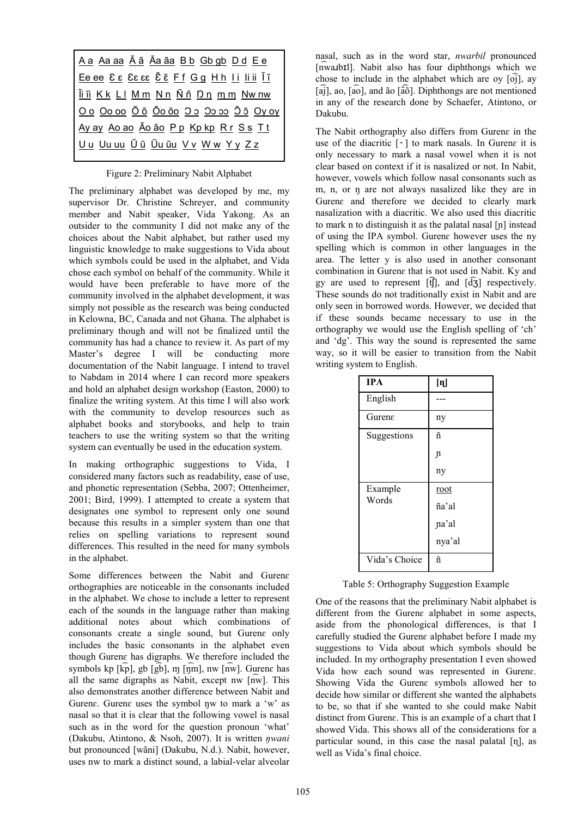| A a A <u>a a A Ã ã Ãa ã a B b</u> G b g b D d E e                    |  |  |
|----------------------------------------------------------------------|--|--|
| Ee ee <u>&amp; &amp; &amp; &amp; &amp; &amp; Ef Gg Hh Ii liii</u> In |  |  |
| <u>Ĩi ĩi Kk Ll Mm Nn Ññ Dn mm Nw nw</u>                              |  |  |
| Oo Oo oo Õõ Õo õo Oo Oo oo Õõ Oy oy                                  |  |  |
| <u>Ay ay Ao ao Ão ão Pp Kp kp Rr Ss Tt</u>                           |  |  |
| <u> Uu Uu uu Ũũ Ũu ũu V v W w Y y Z z</u>                            |  |  |
|                                                                      |  |  |

Figure 2: Preliminary Nabit Alphabet

The preliminary alphabet was developed by me, my supervisor Dr. Christine Schreyer, and community member and Nabit speaker, Vida Yakong. As an outsider to the community I did not make any of the choices about the Nabit alphabet, but rather used my linguistic knowledge to make suggestions to Vida about which symbols could be used in the alphabet, and Vida chose each symbol on behalf of the community. While it would have been preferable to have more of the community involved in the alphabet development, it was simply not possible as the research was being conducted in Kelowna, BC, Canada and not Ghana. The alphabet is preliminary though and will not be finalized until the community has had a chance to review it. As part of my Master's degree I will be conducting more documentation of the Nabit language. I intend to travel to Nabdam in 2014 where I can record more speakers and hold an alphabet design workshop (Easton, 2000) to finalize the writing system. At this time I will also work with the community to develop resources such as alphabet books and storybooks, and help to train teachers to use the writing system so that the writing system can eventually be used in the education system.

In making orthographic suggestions to Vida, I considered many factors such as readability, ease of use, and phonetic representation (Sebba, 2007; Ottenheimer, 2001; Bird, 1999). I attempted to create a system that designates one symbol to represent only one sound because this results in a simpler system than one that relies on spelling variations to represent sound differences. This resulted in the need for many symbols in the alphabet.

Some differences between the Nabit and Gurenɛ orthographies are noticeable in the consonants included in the alphabet. We chose to include a letter to represent each of the sounds in the language rather than making additional notes about which combinations of consonants create a single sound, but Gurenɛ only includes the basic consonants in the alphabet even though Gurenɛ has digraphs. We therefore included the symbols kp  $\lceil k\bar{p} \rceil$ , gb  $\lceil \bar{g}b \rceil$ ,  $m \lceil \bar{p}m \rceil$ , nw  $\lceil \bar{nw} \rceil$ . Guren $\varepsilon$  has all the same digraphs as Nabit, except nw [n ͡w]. This also demonstrates another difference between Nabit and Guren $\varepsilon$ . Guren $\varepsilon$  uses the symbol nw to mark a 'w' as nasal so that it is clear that the following vowel is nasal such as in the word for the question pronoun 'what' (Dakubu, Atintono, & Nsoh, 2007). It is written *ŋwani* but pronounced [wãni] (Dakubu, N.d.). Nabit, however, uses nw to mark a distinct sound, a labial-velar alveolar

nasal, such as in the word star, *nwarbil* pronounced [n ͡waɹbɪl]. Nabit also has four diphthongs which we chose to include in the alphabet which are oy  $\lceil$  o $\rceil$ , ay [a͡j], ao, [a͡o], and ão [ã ͡õ]. Diphthongs are not mentioned in any of the research done by Schaefer, Atintono, or Dakubu.

The Nabit orthography also differs from Gurene in the use of the diacritic  $\lceil \cdot \rceil$  to mark nasals. In Gurene it is only necessary to mark a nasal vowel when it is not clear based on context if it is nasalized or not. In Nabit, however, vowels which follow nasal consonants such as m, n, or n are not always nasalized like they are in Gurenɛ and therefore we decided to clearly mark nasalization with a diacritic. We also used this diacritic to mark n to distinguish it as the palatal nasal [ɲ] instead of using the IPA symbol. Gurenɛ however uses the ny spelling which is common in other languages in the area. The letter y is also used in another consonant combination in Gurenɛ that is not used in Nabit. Ky and gy are used to represent  $[\hat{f}]$ , and  $[\hat{d}\hat{f}]$  respectively. These sounds do not traditionally exist in Nabit and are only seen in borrowed words. However, we decided that if these sounds became necessary to use in the orthography we would use the English spelling of 'ch' and 'dg'. This way the sound is represented the same way, so it will be easier to transition from the Nabit writing system to English.

| <b>IPA</b>    | [ŋ]    |
|---------------|--------|
| English       |        |
| Gurene        | ny     |
| Suggestions   | ñ      |
|               | n      |
|               | ny     |
| Example       | root   |
| Words         | ña'al  |
|               | na'al  |
|               | nya'al |
| Vida's Choice | ñ      |

Table 5: Orthography Suggestion Example

One of the reasons that the preliminary Nabit alphabet is different from the Gurena alphabet in some aspects, aside from the phonological differences, is that I carefully studied the Gurenɛ alphabet before I made my suggestions to Vida about which symbols should be included. In my orthography presentation I even showed Vida how each sound was represented in Gurenɛ. Showing Vida the Gurenɛ symbols allowed her to decide how similar or different she wanted the alphabets to be, so that if she wanted to she could make Nabit distinct from Gurenɛ. This is an example of a chart that I showed Vida. This shows all of the considerations for a particular sound, in this case the nasal palatal [ɳ], as well as Vida's final choice.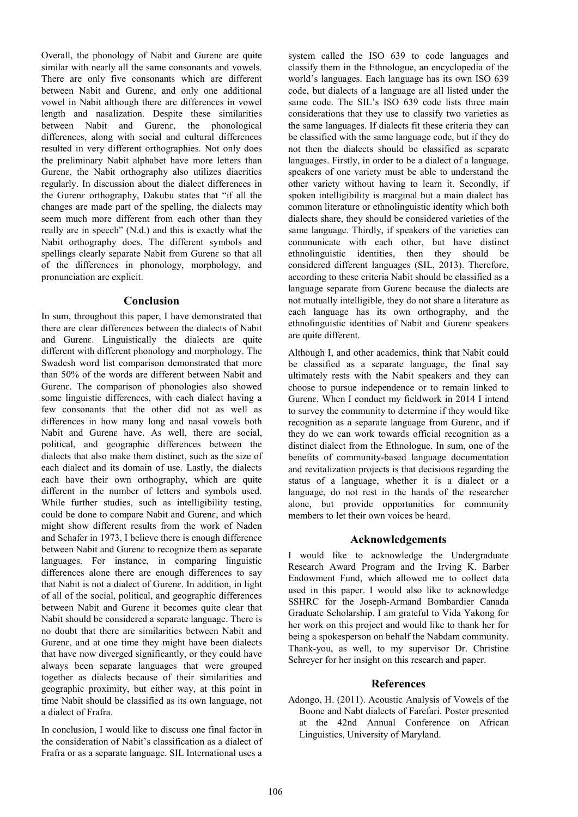Overall, the phonology of Nabit and Gurenɛ are quite similar with nearly all the same consonants and vowels. There are only five consonants which are different between Nabit and Guren $\varepsilon$ , and only one additional vowel in Nabit although there are differences in vowel length and nasalization. Despite these similarities between Nabit and Gurenɛ, the phonological differences, along with social and cultural differences resulted in very different orthographies. Not only does the preliminary Nabit alphabet have more letters than Gurenɛ, the Nabit orthography also utilizes diacritics regularly. In discussion about the dialect differences in the Gurenɛ orthography, Dakubu states that "if all the changes are made part of the spelling, the dialects may seem much more different from each other than they really are in speech" (N.d.) and this is exactly what the Nabit orthography does. The different symbols and spellings clearly separate Nabit from Gurene so that all of the differences in phonology, morphology, and pronunciation are explicit.

# **Conclusion**

In sum, throughout this paper, I have demonstrated that there are clear differences between the dialects of Nabit and Gurenɛ. Linguistically the dialects are quite different with different phonology and morphology. The Swadesh word list comparison demonstrated that more than 50% of the words are different between Nabit and Gurenɛ. The comparison of phonologies also showed some linguistic differences, with each dialect having a few consonants that the other did not as well as differences in how many long and nasal vowels both Nabit and Gurenɛ have. As well, there are social, political, and geographic differences between the dialects that also make them distinct, such as the size of each dialect and its domain of use. Lastly, the dialects each have their own orthography, which are quite different in the number of letters and symbols used. While further studies, such as intelligibility testing, could be done to compare Nabit and Gurenɛ, and which might show different results from the work of Naden and Schafer in 1973, I believe there is enough difference between Nabit and Gurena to recognize them as separate languages. For instance, in comparing linguistic differences alone there are enough differences to say that Nabit is not a dialect of Gurenɛ. In addition, in light of all of the social, political, and geographic differences between Nabit and Gurena it becomes quite clear that Nabit should be considered a separate language. There is no doubt that there are similarities between Nabit and Guren $\varepsilon$ , and at one time they might have been dialects that have now diverged significantly, or they could have always been separate languages that were grouped together as dialects because of their similarities and geographic proximity, but either way, at this point in time Nabit should be classified as its own language, not a dialect of Frafra.

In conclusion, I would like to discuss one final factor in the consideration of Nabit's classification as a dialect of Frafra or as a separate language. SIL International uses a

system called the ISO 639 to code languages and classify them in the Ethnologue, an encyclopedia of the world's languages. Each language has its own ISO 639 code, but dialects of a language are all listed under the same code. The SIL's ISO 639 code lists three main considerations that they use to classify two varieties as the same languages. If dialects fit these criteria they can be classified with the same language code, but if they do not then the dialects should be classified as separate languages. Firstly, in order to be a dialect of a language, speakers of one variety must be able to understand the other variety without having to learn it. Secondly, if spoken intelligibility is marginal but a main dialect has common literature or ethnolinguistic identity which both dialects share, they should be considered varieties of the same language. Thirdly, if speakers of the varieties can communicate with each other, but have distinct ethnolinguistic identities, then they should be considered different languages (SIL, 2013). Therefore, according to these criteria Nabit should be classified as a language separate from Gurena because the dialects are not mutually intelligible, they do not share a literature as each language has its own orthography, and the ethnolinguistic identities of Nabit and Gurenɛ speakers are quite different.

Although I, and other academics, think that Nabit could be classified as a separate language, the final say ultimately rests with the Nabit speakers and they can choose to pursue independence or to remain linked to Gurenɛ. When I conduct my fieldwork in 2014 I intend to survey the community to determine if they would like recognition as a separate language from Gurenɛ, and if they do we can work towards official recognition as a distinct dialect from the Ethnologue. In sum, one of the benefits of community-based language documentation and revitalization projects is that decisions regarding the status of a language, whether it is a dialect or a language, do not rest in the hands of the researcher alone, but provide opportunities for community members to let their own voices be heard.

# **Acknowledgements**

I would like to acknowledge the Undergraduate Research Award Program and the Irving K. Barber Endowment Fund, which allowed me to collect data used in this paper. I would also like to acknowledge SSHRC for the Joseph-Armand Bombardier Canada Graduate Scholarship. I am grateful to Vida Yakong for her work on this project and would like to thank her for being a spokesperson on behalf the Nabdam community. Thank-you, as well, to my supervisor Dr. Christine Schreyer for her insight on this research and paper.

## **References**

Adongo, H. (2011). Acoustic Analysis of Vowels of the Boone and Nabt dialects of Farefari. Poster presented at the 42nd Annual Conference on African Linguistics, University of Maryland.